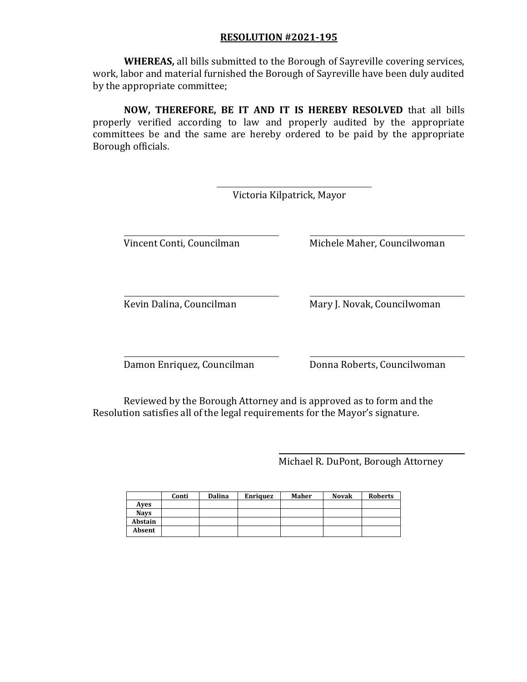**WHEREAS,** all bills submitted to the Borough of Sayreville covering services, work, labor and material furnished the Borough of Sayreville have been duly audited by the appropriate committee;

**NOW, THEREFORE, BE IT AND IT IS HEREBY RESOLVED** that all bills properly verified according to law and properly audited by the appropriate committees be and the same are hereby ordered to be paid by the appropriate Borough officials.

|                            | Victoria Kilpatrick, Mayor  |
|----------------------------|-----------------------------|
| Vincent Conti, Councilman  | Michele Maher, Councilwoman |
| Kevin Dalina, Councilman   | Mary J. Novak, Councilwoman |
| Damon Enriquez, Councilman | Donna Roberts, Councilwoman |

Reviewed by the Borough Attorney and is approved as to form and the Resolution satisfies all of the legal requirements for the Mayor's signature.

Michael R. DuPont, Borough Attorney

|             | Conti | Dalina | <b>Enriquez</b> | Maher | <b>Novak</b> | <b>Roberts</b> |
|-------------|-------|--------|-----------------|-------|--------------|----------------|
| Aves        |       |        |                 |       |              |                |
| <b>Navs</b> |       |        |                 |       |              |                |
| Abstain     |       |        |                 |       |              |                |
| Absent      |       |        |                 |       |              |                |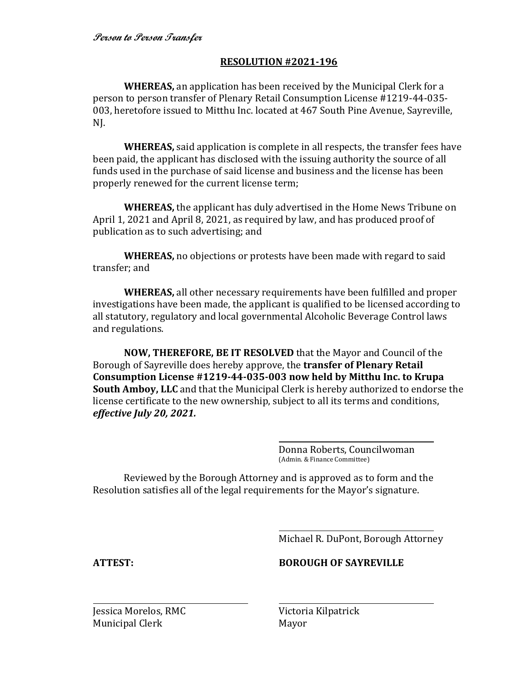**WHEREAS,** an application has been received by the Municipal Clerk for a person to person transfer of Plenary Retail Consumption License #1219-44-035- 003, heretofore issued to Mitthu Inc. located at 467 South Pine Avenue, Sayreville, NJ.

**WHEREAS,** said application is complete in all respects, the transfer fees have been paid, the applicant has disclosed with the issuing authority the source of all funds used in the purchase of said license and business and the license has been properly renewed for the current license term;

**WHEREAS,** the applicant has duly advertised in the Home News Tribune on April 1, 2021 and April 8, 2021, as required by law, and has produced proof of publication as to such advertising; and

**WHEREAS,** no objections or protests have been made with regard to said transfer; and

**WHEREAS,** all other necessary requirements have been fulfilled and proper investigations have been made, the applicant is qualified to be licensed according to all statutory, regulatory and local governmental Alcoholic Beverage Control laws and regulations.

**NOW, THEREFORE, BE IT RESOLVED** that the Mayor and Council of the Borough of Sayreville does hereby approve, the **transfer of Plenary Retail Consumption License #1219-44-035-003 now held by Mitthu Inc. to Krupa South Amboy, LLC** and that the Municipal Clerk is hereby authorized to endorse the license certificate to the new ownership, subject to all its terms and conditions, *effective July 20, 2021.*

> Donna Roberts, Councilwoman (Admin. & Finance Committee)

Reviewed by the Borough Attorney and is approved as to form and the Resolution satisfies all of the legal requirements for the Mayor's signature.

Michael R. DuPont, Borough Attorney

**ATTEST: BOROUGH OF SAYREVILLE**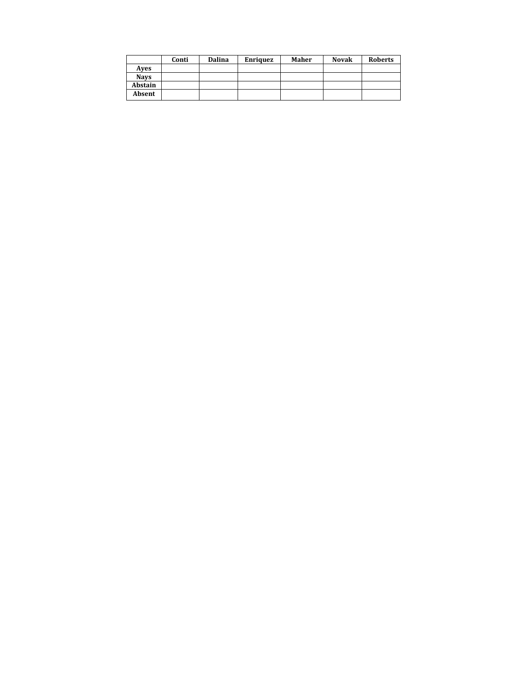|             | Conti | Dalina | <b>Enriquez</b> | Maher | <b>Novak</b> | <b>Roberts</b> |
|-------------|-------|--------|-----------------|-------|--------------|----------------|
| Aves        |       |        |                 |       |              |                |
| <b>Navs</b> |       |        |                 |       |              |                |
| Abstain     |       |        |                 |       |              |                |
| Absent      |       |        |                 |       |              |                |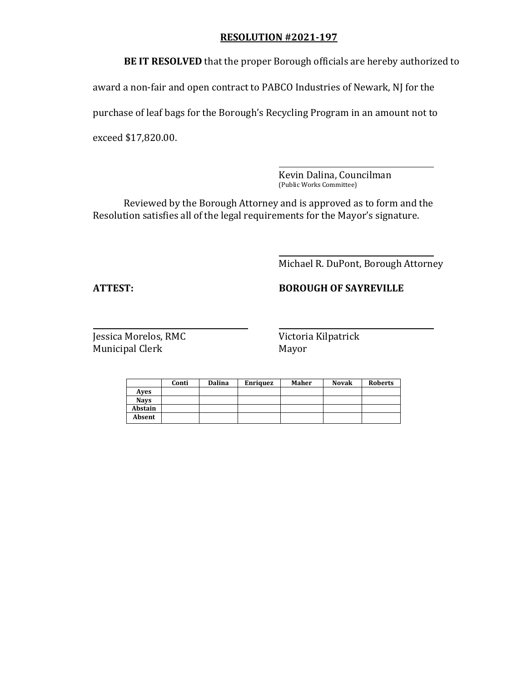**BE IT RESOLVED** that the proper Borough officials are hereby authorized to

award a non-fair and open contract to PABCO Industries of Newark, NJ for the

purchase of leaf bags for the Borough's Recycling Program in an amount not to

exceed \$17,820.00.

Kevin Dalina, Councilman (Public Works Committee)

Reviewed by the Borough Attorney and is approved as to form and the Resolution satisfies all of the legal requirements for the Mayor's signature.

Michael R. DuPont, Borough Attorney

# **ATTEST: BOROUGH OF SAYREVILLE**

|             | Conti | <b>Dalina</b> | <b>Enriquez</b> | Maher | <b>Novak</b> | <b>Roberts</b> |
|-------------|-------|---------------|-----------------|-------|--------------|----------------|
| Aves        |       |               |                 |       |              |                |
| <b>Navs</b> |       |               |                 |       |              |                |
| Abstain     |       |               |                 |       |              |                |
| Absent      |       |               |                 |       |              |                |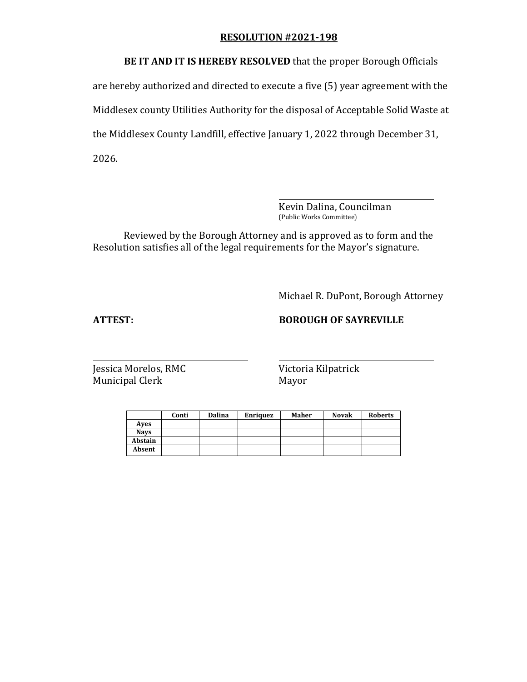**BE IT AND IT IS HEREBY RESOLVED** that the proper Borough Officials

are hereby authorized and directed to execute a five (5) year agreement with the Middlesex county Utilities Authority for the disposal of Acceptable Solid Waste at the Middlesex County Landfill, effective January 1, 2022 through December 31, 2026.

> Kevin Dalina, Councilman (Public Works Committee)

Reviewed by the Borough Attorney and is approved as to form and the Resolution satisfies all of the legal requirements for the Mayor's signature.

Michael R. DuPont, Borough Attorney

# **ATTEST: BOROUGH OF SAYREVILLE**

|             | Conti | <b>Dalina</b> | <b>Enriquez</b> | Maher | <b>Novak</b> | <b>Roberts</b> |
|-------------|-------|---------------|-----------------|-------|--------------|----------------|
| Aves        |       |               |                 |       |              |                |
| <b>Navs</b> |       |               |                 |       |              |                |
| Abstain     |       |               |                 |       |              |                |
| Absent      |       |               |                 |       |              |                |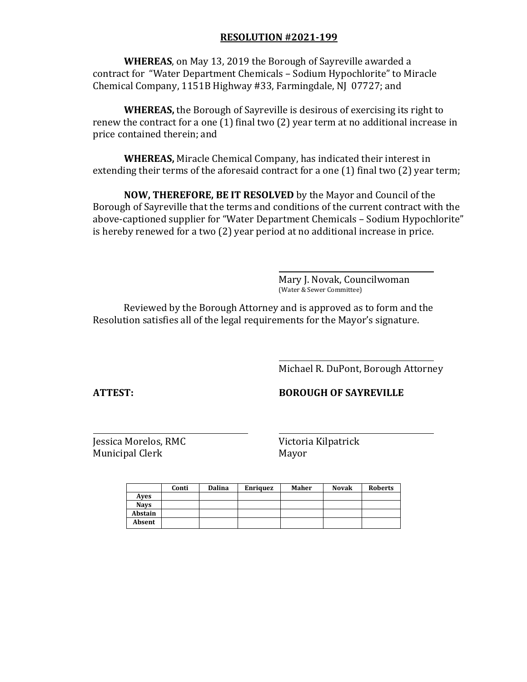**WHEREAS**, on May 13, 2019 the Borough of Sayreville awarded a contract for "Water Department Chemicals – Sodium Hypochlorite" to Miracle Chemical Company, 1151B Highway #33, Farmingdale, NJ 07727; and

**WHEREAS,** the Borough of Sayreville is desirous of exercising its right to renew the contract for a one (1) final two (2) year term at no additional increase in price contained therein; and

**WHEREAS,** Miracle Chemical Company, has indicated their interest in extending their terms of the aforesaid contract for a one (1) final two (2) year term;

**NOW, THEREFORE, BE IT RESOLVED** by the Mayor and Council of the Borough of Sayreville that the terms and conditions of the current contract with the above-captioned supplier for "Water Department Chemicals – Sodium Hypochlorite" is hereby renewed for a two (2) year period at no additional increase in price.

> Mary J. Novak, Councilwoman (Water & Sewer Committee)

Reviewed by the Borough Attorney and is approved as to form and the Resolution satisfies all of the legal requirements for the Mayor's signature.

Michael R. DuPont, Borough Attorney

**ATTEST: BOROUGH OF SAYREVILLE**

|             | Conti | Dalina | <b>Enriquez</b> | Maher | <b>Novak</b> | <b>Roberts</b> |
|-------------|-------|--------|-----------------|-------|--------------|----------------|
| Aves        |       |        |                 |       |              |                |
| <b>Nays</b> |       |        |                 |       |              |                |
| Abstain     |       |        |                 |       |              |                |
| Absent      |       |        |                 |       |              |                |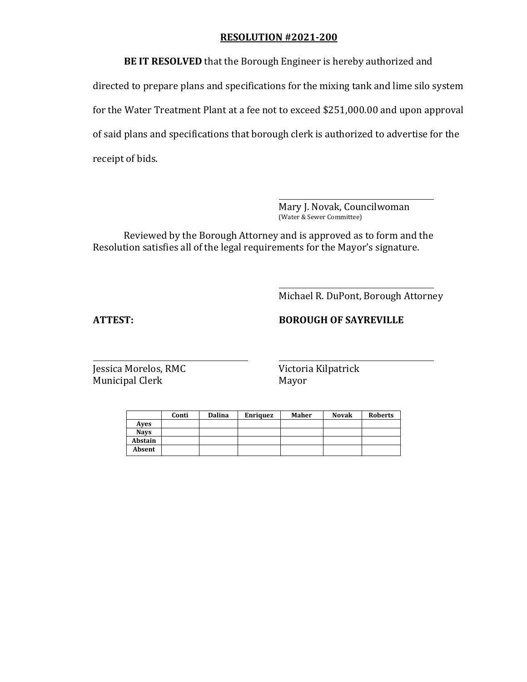**BE IT RESOLVED** that the Borough Engineer is hereby authorized and directed to prepare plans and specifications for the mixing tank and lime silo system for the Water Treatment Plant at a fee not to exceed \$251,000.00 and upon approval of said plans and specifications that borough clerk is authorized to advertise for the receipt of bids.

> Mary J. Novak, Councilwoman (Water & Sewer Committee)

Reviewed by the Borough Attorney and is approved as to form and the Resolution satisfies all of the legal requirements for the Mayor's signature.

Michael R. DuPont, Borough Attorney

# **ATTEST: BOROUGH OF SAYREVILLE**

|             | Conti | <b>Dalina</b> | <b>Enriquez</b> | <b>Maher</b> | <b>Novak</b> | <b>Roberts</b> |
|-------------|-------|---------------|-----------------|--------------|--------------|----------------|
| Aves        |       |               |                 |              |              |                |
| <b>Navs</b> |       |               |                 |              |              |                |
| Abstain     |       |               |                 |              |              |                |
| Absent      |       |               |                 |              |              |                |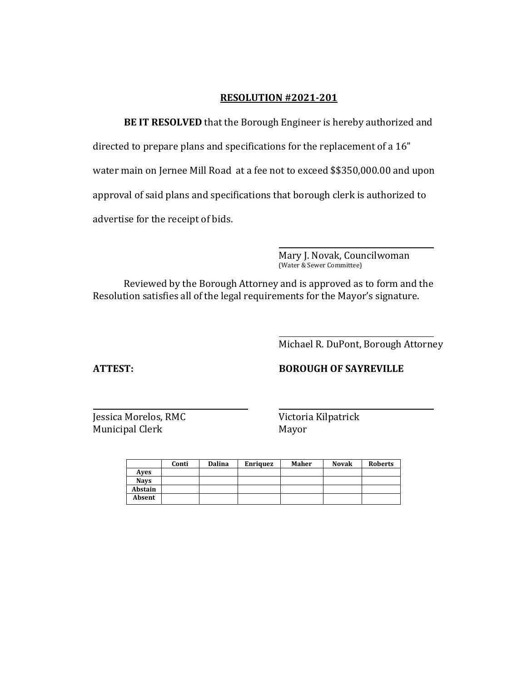**BE IT RESOLVED** that the Borough Engineer is hereby authorized and directed to prepare plans and specifications for the replacement of a 16" water main on Jernee Mill Road at a fee not to exceed \$\$350,000.00 and upon approval of said plans and specifications that borough clerk is authorized to advertise for the receipt of bids.

> Mary J. Novak, Councilwoman (Water & Sewer Committee)

Reviewed by the Borough Attorney and is approved as to form and the Resolution satisfies all of the legal requirements for the Mayor's signature.

Michael R. DuPont, Borough Attorney

## **ATTEST: BOROUGH OF SAYREVILLE**

|             | Conti | <b>Dalina</b> | <b>Enriquez</b> | <b>Maher</b> | <b>Novak</b> | <b>Roberts</b> |
|-------------|-------|---------------|-----------------|--------------|--------------|----------------|
| Aves        |       |               |                 |              |              |                |
| <b>Navs</b> |       |               |                 |              |              |                |
| Abstain     |       |               |                 |              |              |                |
| Absent      |       |               |                 |              |              |                |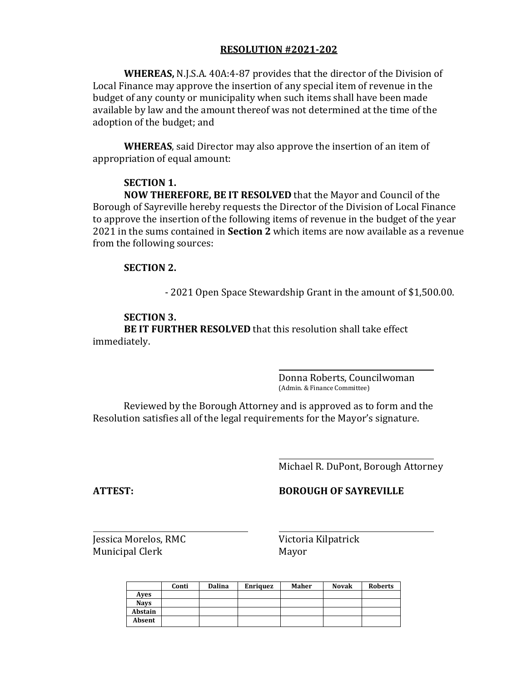**WHEREAS,** N.J.S.A. 40A:4-87 provides that the director of the Division of Local Finance may approve the insertion of any special item of revenue in the budget of any county or municipality when such items shall have been made available by law and the amount thereof was not determined at the time of the adoption of the budget; and

**WHEREAS**, said Director may also approve the insertion of an item of appropriation of equal amount:

#### **SECTION 1.**

**NOW THEREFORE, BE IT RESOLVED** that the Mayor and Council of the Borough of Sayreville hereby requests the Director of the Division of Local Finance to approve the insertion of the following items of revenue in the budget of the year 2021 in the sums contained in **Section 2** which items are now available as a revenue from the following sources:

### **SECTION 2.**

- 2021 Open Space Stewardship Grant in the amount of \$1,500.00.

### **SECTION 3.**

**BE IT FURTHER RESOLVED** that this resolution shall take effect immediately.

> Donna Roberts, Councilwoman (Admin. & Finance Committee)

Reviewed by the Borough Attorney and is approved as to form and the Resolution satisfies all of the legal requirements for the Mayor's signature.

Michael R. DuPont, Borough Attorney

## **ATTEST: BOROUGH OF SAYREVILLE**

|             | Conti | Dalina | <b>Enriquez</b> | Maher | <b>Novak</b> | <b>Roberts</b> |
|-------------|-------|--------|-----------------|-------|--------------|----------------|
| Aves        |       |        |                 |       |              |                |
| <b>Navs</b> |       |        |                 |       |              |                |
| Abstain     |       |        |                 |       |              |                |
| Absent      |       |        |                 |       |              |                |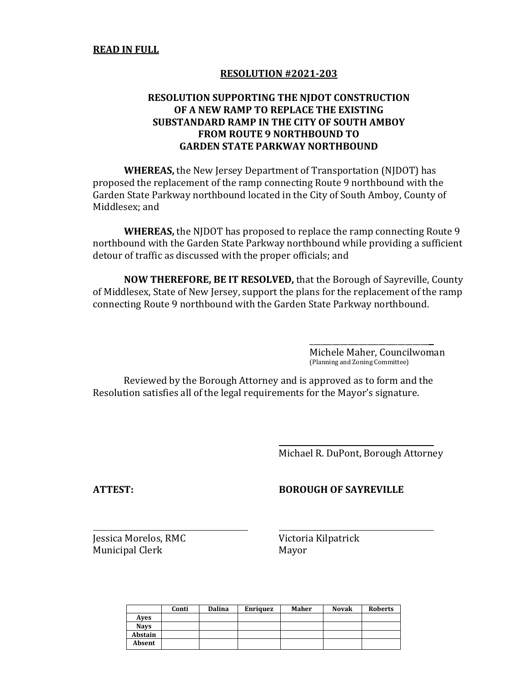## **RESOLUTION SUPPORTING THE NJDOT CONSTRUCTION OF A NEW RAMP TO REPLACE THE EXISTING SUBSTANDARD RAMP IN THE CITY OF SOUTH AMBOY FROM ROUTE 9 NORTHBOUND TO GARDEN STATE PARKWAY NORTHBOUND**

**WHEREAS,** the New Jersey Department of Transportation (NJDOT) has proposed the replacement of the ramp connecting Route 9 northbound with the Garden State Parkway northbound located in the City of South Amboy, County of Middlesex; and

**WHEREAS,** the NJDOT has proposed to replace the ramp connecting Route 9 northbound with the Garden State Parkway northbound while providing a sufficient detour of traffic as discussed with the proper officials; and

**NOW THEREFORE, BE IT RESOLVED,** that the Borough of Sayreville, County of Middlesex, State of New Jersey, support the plans for the replacement of the ramp connecting Route 9 northbound with the Garden State Parkway northbound.

> Michele Maher, Councilwoman (Planning and Zoning Committee)

\_\_\_\_\_\_\_\_\_\_\_\_\_\_\_\_\_\_\_\_\_\_\_\_\_\_\_\_\_\_\_

Reviewed by the Borough Attorney and is approved as to form and the Resolution satisfies all of the legal requirements for the Mayor's signature.

Michael R. DuPont, Borough Attorney

## **ATTEST: BOROUGH OF SAYREVILLE**

|             | Conti | <b>Dalina</b> | Enriquez | Maher | <b>Novak</b> | <b>Roberts</b> |
|-------------|-------|---------------|----------|-------|--------------|----------------|
| Aves        |       |               |          |       |              |                |
| <b>Navs</b> |       |               |          |       |              |                |
| Abstain     |       |               |          |       |              |                |
| Absent      |       |               |          |       |              |                |